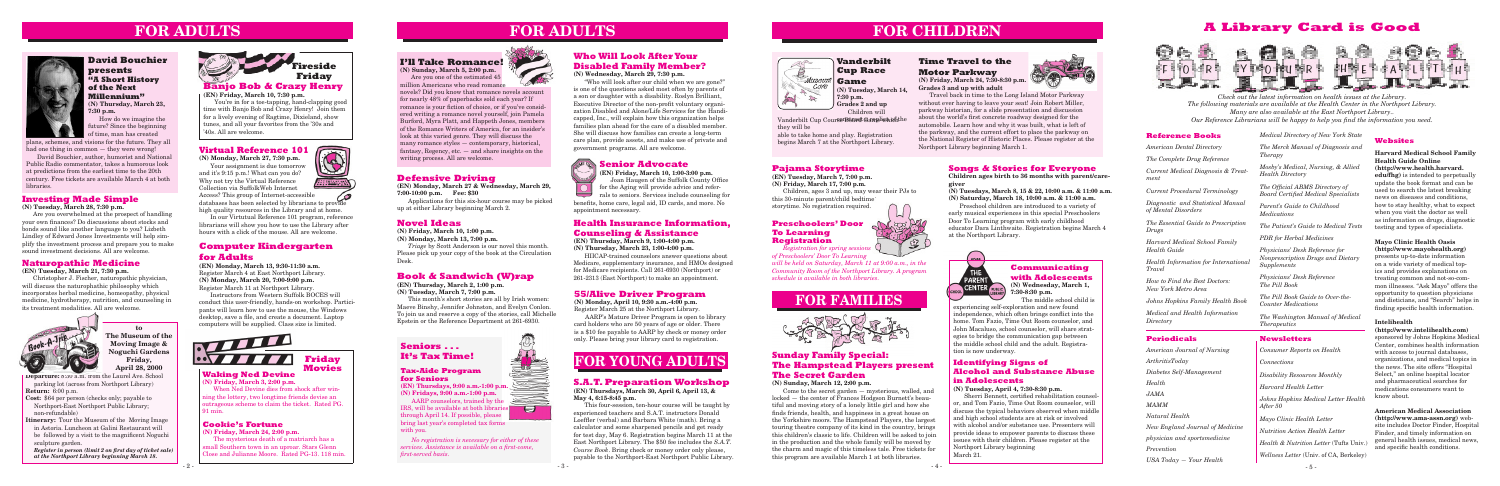**Departure:** 8:30 a.m. from the Laurel Ave. School parking lot (across from Northport Library)

**Return:** 6:00 p.m.

- **Cost:** \$64 per person (checks only; payable to Northport-East Northport Public Library; non-refundable)
- **Itinerary:** Tour the Museum of the Moving Image in Astoria. Luncheon at Galini Restaurant will be followed by a visit to the magnificent Noguchi sculpture garden.

*Register in person (limit 2 on first day of ticket sale) at the Northport Library beginning March 18.*



**FOR CHILDREN**

#### **Communicating with Adolescents (N) Wednesday, March 1,**

**7:30-8:30 p.m.**

The middle school child is

**to The Museum of the Moving Image & Noguchi Gardens Friday,** 

## **Pajama Storytime**

**(EN) Tuesday, March 7, 7:00 p.m. (N) Friday, March 17, 7:00 p.m.**

Children, ages 3 and up, may wear their PJs to this 30-minute parent/child bedtime storytime. No registration required.

# **Songs & Stories for Everyone**

**Children ages birth to 36 months with parent/caregiver**

**(N) Tuesdays, March 8, 15 & 22, 10:00 a.m. & 11:00 a.m. (N) Saturday, March 18, 10:00 a.m. & 11:00 a.m.**

Preschool children are introduced to a variety of early musical experiences in this special Preschoolers Door To Learning program with early childhood educator Dara Linthwaite. Registration begins March 4 at the Northport Library.

# (HOME  $THE$ PARENT CENTER FUBLIC

#### **Naturopathic Medicine**

**(EN) Tuesday, March 21, 7:30 p.m.**

Christopher J. Fischer, naturopathic physician, will discuss the naturophathic philosophy which incorporates herbal medicine, homeopathy, physical medicine, hydrotherapy, nutrition, and counseling in its treatment modalities. All are welcome.

# **55/Alive Driver Program**

**(N) Monday, April 10, 9:30 a.m.-4:00 p.m.** Register March 25 at the Northport Library.

AARP's Mature Driver Program is open to library card holders who are 50 years of age or older. There is a \$10 fee payable to AARP by check or money order only. Please bring your library card to registration.

# Friday, **Formulating and Friday Friday Friday Friday Formulation FOR YOUNG ADULTS**

# **Health Insurance Information, Counseling & Assistance**

**(EN) Thursday, March 9, 1:00-4:00 p.m. (N) Thursday, March 23, 1:00-4:00 p.m.**

HIICAP-trained counselors answer questions about Medicare, supplementary insurance, and HMOs designed for Medicare recipients. Call 261-6930 (Northport) or 261-2313 (East Northport) to make an appointment.

**(EN) Friday, March 10, 1:00-3:00 p.m.** Joan Haugen of the Suffolk County Office for the Aging will provide advice and referrals to seniors. Services include counseling for benefits, home care, legal aid, ID cards, and more. No appointment necessary.

## **Time Travel to the Motor Parkway**

**(N) Friday, March 24, 7:30-8:30 p.m. Grades 3 and up with adult**

Travel back in time to the Long Island Motor Parkway without ever having to leave your seat! Join Robert Miller, parkway historian, for a slide presentation and discussion about the world's first concrete roadway designed for the automobile. Learn how and why it was built, what is left of the parkway, and the current effort to place the parkway on the National Register of Historic Places. Please register at the Northport Library beginning March 1.

Access? This group of Internet-accessible ە/ databases has been selected by librarians to provide high quality resources in the Library and at home.

# **Sunday Family Special: The Hampstead Players present The Secret Garden**

#### **(N) Sunday, March 12, 2:00 p.m.**

Come to the secret garden — mysterious, walled, and locked — the center of Frances Hodgson Burnett's beautiful and moving story of a lonely little girl and how she finds friends, health, and happiness in a great house on the Yorkshire moors. The Hampstead Players, the largest touring theatre company of its kind in the country, brings this children's classic to life. Children will be asked to join in the production and the whole family will be moved by the charm and magic of this timeless tale. Free tickets for this program are available March 1 at both libraries.

#### **Novel Ideas**

**(N) Friday, March 10, 1:00 p.m.**

**(N) Monday, March 13, 7:00 p.m.**

*Triage* by Scott Anderson is our novel this month. Please pick up your copy of the book at the Circulation Desk.

## **Book & Sandwich (W)rap**

**(EN) Thursday, March 2, 1:00 p.m. (N) Tuesday, March 7, 7:00 p.m.**

This month's short stories are all by Irish women: Maeve Binshy, Jennifer Johnston, and Evelyn Conlon. To join us and reserve a copy of the stories, call Michelle Epstein or the Reference Department at 261-6930.

# **FOR ADULTS**

## **S.A.T. Preparation Workshop**

**(EN) Thursdays, March 30, April 6, April 13, & May 4, 6:15-8:45 p.m.**

This four-session, ten-hour course will be taught by experienced teachers and S.A.T. instructors Donald Loeffler (verbal) and Barbara White (math). Bring a calculator and some sharpened pencils and get ready for test day, May 6. Registration begins March 11 at the East Northport Library. The \$50 fee includes the *S.A.T. Course Book*. Bring check or money order only please, payable to the Northport-East Northport Public Library.

#### **Investing Made Simple**

**(N) Tuesday, March 28, 7:30 p.m.**

Are you overwhelmed at the prospect of handling your own finances? Do discussions about stocks and bonds sound like another language to you? Lizbeth Lindley of Edward Jones Investments will help simplify the investment process and prepare you to make sound investment decisions. All are welcome.

#### **Identifying Signs of Alcohol and Substance Abuse in Adolescents**

#### **Vanderbilt**  Museur **Game**  $C$ <sub>O</sub> $\chi$ <sub>C</sub> fol  $\Rightarrow$

#### **(N) Tuesday, April 4, 7:30-8:30 p.m.**

Vanderbilt Cup CourserBoard Gamelica of the they will be

> Sherri Bennett, certified rehabilitation counselor, and Tom Fazio, Time Out Room counselor, will discuss the typical behaviors observed when middle and high school students are at risk or involved with alcohol and/or substance use. Presenters will provide ideas to empower parents to discuss these issues with their children. Please register at the Northport Library beginning March 21.



**David Bouchier presents "A Short History of the Next Millennium" (N) Thursday, March 23, 7:30 p.m.**

How do we imagine the future? Since the beginning of time, man has created

### **Virtual Reference 101**

**(N) Monday, March 27, 7:30 p.m.**

Your assignment is due tomorrow and it's 9:15 p.m.! What can you do? Why not try the Virtual Reference Collection via SuffolkWeb Internet

 In our Virtutual Reference 101 program, reference librarians will show you how to use the Library after hours with a click of the mouse. All are welcome.

# **Computer Kindergarten for Adults**

**(EN) Monday, March 13, 9:30-11:30 a.m.** Register March 4 at East Northport Library. **(N) Monday, March 20, 7:00-9:00 p.m.** Register March 11 at Northport Library.

plans, schemes, and visions for the future. They all **External Pofosomers** 101 many romance styles — contemporary, historical, care plan, provide assets, and make use and care in the second one thing in common — they were million Americans who read romance novels? Did you know that romance novels account for nearly 48% of paperbacks sold each year? If romance is your fiction of choice, or if you've considered writing a romance novel yourself, join Pamela Burford, Myra Platt, and Happeth Jones, members of the Romance Writers of America, for an insider's look at this varied genre. They will discuss the fantasy, Regency, etc. — and share insights on the writing process. All are welcome.

> Instructors from Western Suffolk BOCES will conduct this user-friendly, hands-on workshop. Participants will learn how to use the mouse, the Windows desktop, save a file, and create a document. Laptop computers will be supplied. Class size is limited.

experiencing self-exploration and new found independence, which often brings conflict into the home. Tom Fazio, Time Out Room counselor, and John Macaluso, school counselor, will share strategies to bridge the communication gap between the middle school child and the adult. Registration is now underway.

# **A Library Card is Good**

*Check out the latest information on health issues at the Library. The following materials are available at the Health Center in the Northport Library. Many are also available at the East Northport Library.. Our Reference Librarians will be happy to help you find the information you need.*



#### **Reference Books**

*American Dental Directory*

*The Complete Drug Reference*

*Current Medical Diagnosis & Treat-*

*ment*

*Current Procedural Terminology*

*Diagnostic and Statistical Manual of Mental Disorders*

*The Essential Guide to Prescription Drugs*

*Harvard Medical School Family Health Guide*

*Health Information for International Travel*

*How to Find the Best Doctors: New York Metro Area*

*Johns Hopkins Family Health Book*

*Medical and Health Information Directory*

*Medical Directory of New York State*

# *The Merck Manual of Diagnosis and Therapy Mosby's Medical, Nursing, & Allied Health Directory The Official ABMS Directory of Board Certified Medical Specialists Parent's Guide to Childhood Medications The Patient's Guide to Medical Tests PDR for Herbal Medicines Physicians' Desk Reference for*

*Nonprescription Drugs and Dietary Supplements*

*Physicians' Desk Reference The Pill Book*

*The Pill Book Guide to Over-the-Counter Medications*

*The Washington Manual of Medical Therapeutics*

#### **Periodicals**

*American Journal of Nursing ArthritisToday Diabetes Self-Management Health JAMA MAMM Natural Health New England Journal of Medicine physician and sportsmedicine Prevention USA Today — Your Health*

#### **Newsletters**

*Consumer Reports on Health Connections Disability Resources Monthly Harvard Health Letter Johns Hopkins Medical Letter Health After 50 Mayo Clinic Health Letter Nutrition Action Health Letter Health & Nutrition Letter* (Tufts Univ.)

*Wellness Letter* (Univ. of CA, Berkeley)

#### **Websites**

**Harvard Medical School Family Health Guide Online (http://www.health.harvard. edu/fhg)** is intended to perpetually update the book format and can be used to search the latest breaking news on diseases and conditions, how to stay healthy, what to expect when you visit the doctor as well as information on drugs, diagnostic testing and types of specialists.

#### **Mayo Clinic Health Oasis (http://www.mayohealth.org)**

presents up-to-date information on a wide variety of medical topics and provides explanations on treating common and not-so-common illnesses. "Ask Mayo" offers the opportunity to question physicians and dieticians, and "Search" helps in finding specific health information.

#### **Intelihealth**

**(http://www.intelihealth.com)** 

sponsored by Johns Hopkins Medical Center, combines health information with access to journal databases, organizations, and medical topics in the news. The site offers "Hospital Select," an online hospital locator and pharmaceutical searches for medications consumers want to know about.

**American Medical Association (http://www.ama-assn.org)** website includes Doctor Finder, Hospital Finder, and timely information on general health issues, medical news, and specific health conditions.

# **FOR FAMILIES**



#### **Preschoolers' Door To Learning Registration**



*will be held on Saturday, March 11 at 9:00 a.m., in the Community Room of the Northport Library. A program schedule is available in both libraries.*

# **Cup Race**

**(N) Tuesday, March 14,**

**7:30 p.m. Grades 2 and up**  Children will

able to take home and play. Registration begins March 7 at the Northport Library.

# **Who Will Look After Your Disabled Family Member?**

**(N) Wednesday, March 29, 7:30 p.m.**

"Who will look after our child when we are gone?" is one of the questions asked most often by parents of a son or daughter with a disability. Roslyn Brilliant, Executive Director of the non-profit voluntary organization Disabled and Alone/Life Services for the Handicapped, Inc., will explain how this organization helps families plan ahead for the care of a disabled member. She will discuss how families can create a long-term care plan, provide assets, and make use of private and

# *Senior Advocate*

had one thing in common — they were wrong!

David Bouchier, author, humorist and National Public Radio commentator, takes a humorous look at predictions from the earliest time to the 20th century. Free tickets are available March 4 at both libraries.



#### **(EN) Friday, March 10, 7:30 p.m.**

You're in for a toe-tapping, hand-clapping good time with Banjo Bob and Crazy Henry! Join them for a lively evening of Ragtime, Dixieland, show tunes, and all your favorites from the '30s and '40s. All are welcome.

# **FOR ADULTS**



## **Defensive Driving**

**(EN) Monday, March 27 & Wednesday, March 29, 7:00-10:00 p.m. Fee: \$30** 

Applications for this six-hour course may be picked up at either Library beginning March 2.

#### **Waking Ned Devine**

**(N) Friday, March 3, 2:00 p.m.**

When Ned Devine dies from shock after winning the lottery, two longtime friends devise an outrageous scheme to claim the ticket. Rated PG. 91 min.



## **Cookie's Fortune**

**(N) Friday, March 24, 2:00 p.m.**

The mysterious death of a matriarch has a small Southern town in an uproar. Stars Glenn Close and Julianne Moore. Rated PG-13. 118 min.

# **I'll Take Romance!**

**(N) Sunday, March 5, 2:00 p.m.** Are you one of the estimated 45



### **Seniors . . . It's Tax Time!**

#### **Tax-Aide Program for Seniors**

**(EN) Thursdays, 9:00 a.m.-1:00 p.m. (N) Fridays, 9:00 a.m.-1:00 p.m.**

AARP counselors, trained by the IRS, will be available at both libraries through April 14. If possible, please bring last year's completed tax forms with you.

*No registration is necessary for either of these services. Assistance is available on a first-come, first-served basis.*